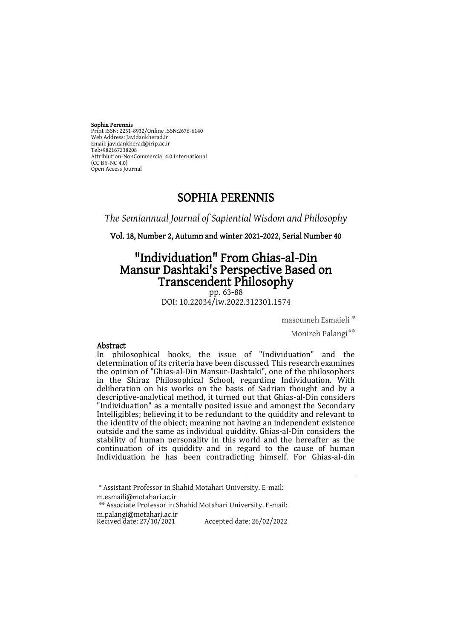#### Sophia Perennis

Print ISSN: 2251-8932/Online ISSN:2676-6140 Web Address: Javidankherad.ir Email[: javidankherad@irip.ac.ir](mailto:javidankherad@irip.ac.ir) [Tel:+982167238208](tel:+982167238208) Attribiution-NonCommercial 4.0 International (CC BY-NC 4.0) Open Access Journal

# SOPHIA PERENNIS

*The Semiannual Journal of Sapiential Wisdom and Philosophy*

Vol. 18, Number 2, Autumn and winter 2021-2022, Serial Number 40

# "Individuation" From Ghias-al-Din Mansur Dashtaki's Perspective Based on Transcendent Philosophy

pp. 63-88 DOI: 10.22034/iw.2022.312301.1574

\* masoumeh Esmaieli

Monireh Palangi\*\*

### Abstract

In philosophical books, the issue of "Individuation" and the determination of its criteria have been discussed. This research examines the opinion of "Ghias-al-Din Mansur-Dashtaki", one of the philosophers in the Shiraz Philosophical School, regarding Individuation. With deliberation on his works on the basis of Sadrian thought and by a descriptive-analytical method, it turned out that Ghias-al-Din considers "Individuation" as a mentally posited issue and amongst the Secondary Intelligibles; believing it to be redundant to the quiddity and relevant to the identity of the object; meaning not having an independent existence outside and the same as individual quiddity. Ghias-al-Din considers the stability of human personality in this world and the hereafter as the continuation of its quiddity and in regard to the cause of human Individuation he has been contradicting himself. For Ghias-al-din

 $\overline{a}$ 

<sup>\*</sup> Assistant Professor in Shahid Motahari University. E-mail: m.esmaili@motahari.ac.ir

<sup>\*\*</sup> Associate Professor in Shahid Motahari University. E-mail: m.palangi@motahari.ac.ir

Recived date: 27/10/2021 Accepted date: 26/02/2022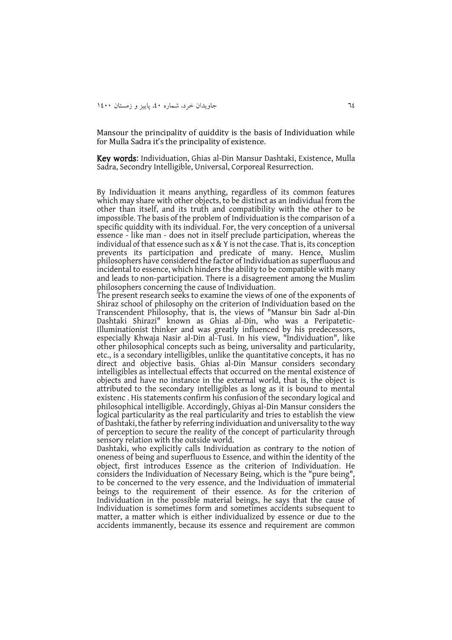Mansour the principality of quiddity is the basis of Individuation while for Mulla Sadra it's the principality of existence.

Key words: Individuation, Ghias al-Din Mansur Dashtaki, Existence, Mulla Sadra, Secondry Intelligible, Universal, Corporeal Resurrection.

By Individuation it means anything, regardless of its common features which may share with other objects, to be distinct as an individual from the other than itself, and its truth and compatibility with the other to be impossible. The basis of the problem of Individuation is the comparison of a specific quiddity with its individual. For, the very conception of a universal essence - like man - does not in itself preclude participation, whereas the individual of that essence such as  $x \& Y$  is not the case. That is, its conception prevents its participation and predicate of many. Hence, Muslim philosophers have considered the factor of Individuation as superfluous and incidental to essence, which hinders the ability to be compatible with many and leads to non-participation. There is a disagreement among the Muslim philosophers concerning the cause of Individuation.

The present research seeks to examine the views of one of the exponents of Shiraz school of philosophy on the criterion of Individuation based on the Transcendent Philosophy, that is, the views of "Mansur bin Sadr al-Din Dashtaki Shirazi" known as Ghias al-Din, who was a Peripatetic-Illuminationist thinker and was greatly influenced by his predecessors, especially Khwaja Nasir al-Din al-Tusi. In his view, "Individuation", like other philosophical concepts such as being, universality and particularity, etc., is a secondary intelligibles, unlike the quantitative concepts, it has no direct and objective basis. Ghias al-Din Mansur considers secondary intelligibles as intellectual effects that occurred on the mental existence of objects and have no instance in the external world, that is, the object is attributed to the secondary intelligibles as long as it is bound to mental existenc . His statements confirm his confusion of the secondary logical and philosophical intelligible. Accordingly, Ghiyas al-Din Mansur considers the logical particularity as the real particularity and tries to establish the view of Dashtaki, the father by referring individuation and universality to the way of perception to secure the reality of the concept of particularity through sensory relation with the outside world.

Dashtaki, who explicitly calls Individuation as contrary to the notion of oneness of being and superfluous to Essence, and within the identity of the object, first introduces Essence as the criterion of Individuation. He considers the Individuation of Necessary Being, which is the "pure being", to be concerned to the very essence, and the Individuation of immaterial beings to the requirement of their essence. As for the criterion of Individuation in the possible material beings, he says that the cause of Individuation is sometimes form and sometimes accidents subsequent to matter, a matter which is either individualized by essence or due to the accidents immanently, because its essence and requirement are common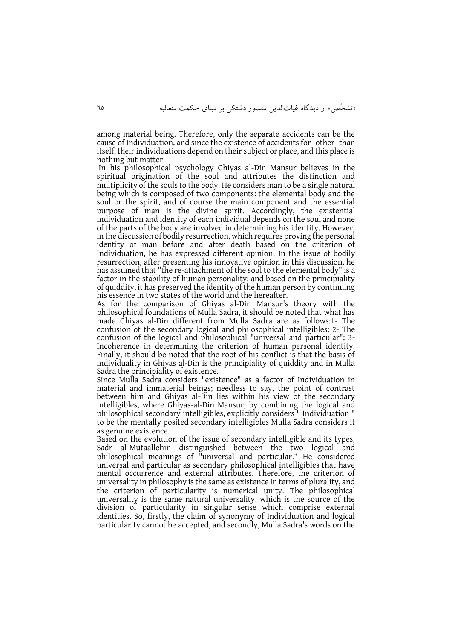among material being. Therefore, only the separate accidents can be the cause of Individuation, and since the existence of accidents for- other- than itself, their individuations depend on their subject or place, and this place is nothing but matter.

In his philosophical psychology Ghiyas al-Din Mansur believes in the spiritual origination of the soul and attributes the distinction and multiplicity of the souls to the body. He considers man to be a single natural being which is composed of two components: the elemental body and the soul or the spirit, and of course the main component and the essential purpose of man is the divine spirit. Accordingly, the existential individuation and identity of each individual depends on the soul and none of the parts of the body are involved in determining his identity. However, in the discussion of bodily resurrection, which requires proving the personal identity of man before and after death based on the criterion of Individuation, he has expressed different opinion. In the issue of bodily resurrection, after presenting his innovative opinion in this discussion, he has assumed that "the re-attachment of the soul to the elemental body" is a factor in the stability of human personality; and based on the principiality of quiddity, it has preserved the identity of the human person by continuing his essence in two states of the world and the hereafter.

As for the comparison of Ghiyas al-Din Mansur's theory with the philosophical foundations of Mulla Sadra, it should be noted that what has made Ghiyas al-Din different from Mulla Sadra are as follows:1- The confusion of the secondary logical and philosophical intelligibles; 2- The confusion of the logical and philosophical "universal and particular"; 3- Incoherence in determining the criterion of human personal identity. Finally, it should be noted that the root of his conflict is that the basis of individuality in Ghiyas al-Din is the principiality of quiddity and in Mulla Sadra the principiality of existence.

Since Mulla Sadra considers "existence" as a factor of Individuation in material and immaterial beings; needless to say, the point of contrast between him and Ghiyas al-Din lies within his view of the secondary intelligibles, where Ghiyas-al-Din Mansur, by combining the logical and philosophical secondary intelligibles, explicitly considers " Individuation " to be the mentally posited secondary intelligibles Mulla Sadra considers it as genuine existence.

Based on the evolution of the issue of secondary intelligible and its types, Sadr al-Mutaallehin distinguished between the two logical and philosophical meanings of "universal and particular." He considered universal and particular as secondary philosophical intelligibles that have mental occurrence and external attributes. Therefore, the criterion of universality in philosophy is the same as existence in terms of plurality, and the criterion of particularity is numerical unity. The philosophical universality is the same natural universality, which is the source of the division of particularity in singular sense which comprise external identities. So, firstly, the claim of synonymy of Individuation and logical particularity cannot be accepted, and secondly, Mulla Sadra's words on the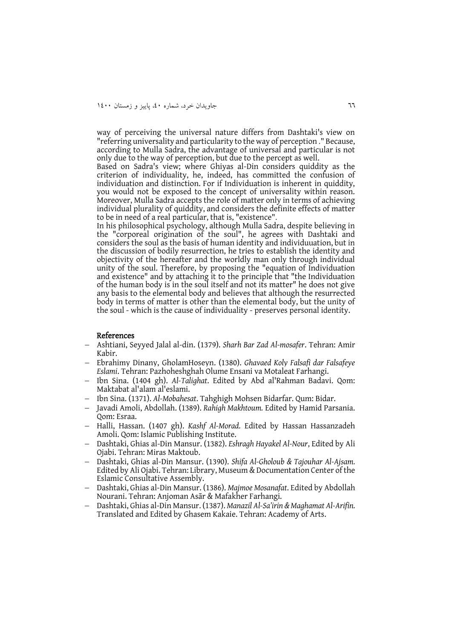way of perceiving the universal nature differs from Dashtaki's view on "referring universality and particularity to the way of perception ." Because, according to Mulla Sadra, the advantage of universal and particular is not only due to the way of perception, but due to the percept as well.

Based on Sadra's view; where Ghiyas al-Din considers quiddity as the criterion of individuality, he, indeed, has committed the confusion of individuation and distinction. For if Individuation is inherent in quiddity, you would not be exposed to the concept of universality within reason. Moreover, Mulla Sadra accepts the role of matter only in terms of achieving individual plurality of quiddity, and considers the definite effects of matter to be in need of a real particular, that is, "existence".

In his philosophical psychology, although Mulla Sadra, despite believing in the "corporeal origination of the soul", he agrees with Dashtaki and considers the soul as the basis of human identity and individuuation, but in the discussion of bodily resurrection, he tries to establish the identity and objectivity of the hereafter and the worldly man only through individual unity of the soul. Therefore, by proposing the "equation of Individuation and existence" and by attaching it to the principle that "the Individuation of the human body is in the soul itself and not its matter" he does not give any basis to the elemental body and believes that although the resurrected body in terms of matter is other than the elemental body, but the unity of the soul - which is the cause of individuality - preserves personal identity.

#### References

- Ashtiani, Seyyed Jalal al-din. (1379). *Sharh Bar Zad Al-mosafer*. Tehran: Amir Kabir.
- Ebrahimy Dinany, GholamHoseyn. (1380). *Ghavaed Koly Falsafi dar Falsafeye Eslami*. Tehran: Pazhoheshghah Olume Ensani va Motaleat Farhangi.
- Ibn Sina. (1404 gh). *Al-Talighat*. Edited by Abd al'Rahman Badavi. Qom: Maktabat al'alam al'eslami.
- Ibn Sina. (1371). *Al-Mobahesat*. Tahghigh Mohsen Bidarfar. Qum: Bidar.
- Javadi Amoli, Abdollah. (1389). *Rahigh Makhtoum.* Edited by Hamid Parsania. Qom: Esraa.
- Halli, Hassan. (1407 gh). *Kashf Al-Morad.* Edited by Hassan Hassanzadeh Amoli. Qom: Islamic Publishing Institute.
- Dashtaki, Ghias al-Din Mansur. (1382). *Eshragh Hayakel Al-Nour*, Edited by Ali Ojabi. Tehran: Miras Maktoub.
- Dashtaki, Ghias al-Din Mansur. (1390). *Shifa Al-Gholoub & Tajouhar Al-Ajsam.* Edited by Ali Ojabi. Tehran: Library, Museum & Documentation Center of the Eslamic Consultative Assembly.
- Dashtaki, Ghias al-Din Mansur. (1386). *Majmoe Mosanafat*. Edited by Abdollah Nourani. Tehran: Anjoman Asār & Mafakher Farhangi.
- Dashtaki, Ghias al-Din Mansur. (1387). *Manazil Al-Sa'irin & Maghamat Al-Arifin.* Translated and Edited by Ghasem Kakaie. Tehran: Academy of Arts.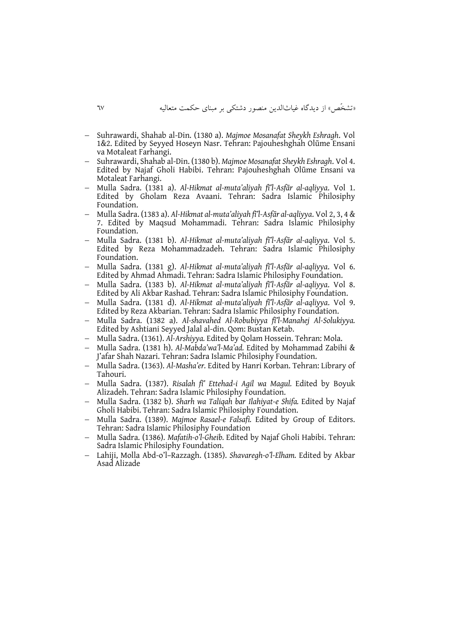- Suhrawardi, Shahab al-Din. (1380 a). *Majmoe Mosanafat Sheykh Eshragh*. Vol 1&2. Edited by Seyyed Hoseyn Nasr. Tehran: Pajouheshghah Olūme Ensani va Motaleat Farhangi.
- Suhrawardi, Shahab al-Din. (1380 b). *Majmoe Mosanafat Sheykh Eshragh*. Vol 4. Edited by Najaf Gholi Habibi. Tehran: Pajouheshghah Olūme Ensani va Motaleat Farhangi.
- Mulla Sadra. (1381 a). *Al-Hikmat al-muta'aliyah fī'l-Asfār al-aqliyya*. Vol 1. Edited by Gholam Reza Avaani. Tehran: Sadra Islamic Philosiphy Foundation.
- Mulla Sadra. (1383 a). *Al-Hikmat al-muta'aliyah fī'l-Asfār al-aqliyya*. Vol 2, 3, 4 & 7. Edited by Maqsud Mohammadi. Tehran: Sadra Islamic Philosiphy Foundation.
- Mulla Sadra. (1381 b). *Al-Hikmat al-muta'aliyah fī'l-Asfār al-aqliyya*. Vol 5. Edited by Reza Mohammadzadeh. Tehran: Sadra Islamic Philosiphy Foundation.
- Mulla Sadra. (1381 g). *Al-Hikmat al-muta'aliyah fī'l-Asfār al-aqliyya*. Vol 6. Edited by Ahmad Ahmadi. Tehran: Sadra Islamic Philosiphy Foundation.
- Mulla Sadra. (1383 b). *Al-Hikmat al-muta'aliyah fī'l-Asfār al-aqliyya*. Vol 8. Edited by Ali Akbar Rashad. Tehran: Sadra Islamic Philosiphy Foundation.
- Mulla Sadra. (1381 d). *Al-Hikmat al-muta'aliyah fī'l-Asfār al-aqliyya*. Vol 9. Edited by Reza Akbarian. Tehran: Sadra Islamic Philosiphy Foundation.
- Mulla Sadra. (1382 a). *Al-shavahed Al-Robubiyya fī'l-Manahej Al-Solukiyya.* Edited by Ashtiani Seyyed Jalal al-din. Qom: Bustan Ketab.
- Mulla Sadra. (1361). *Al-Arshiyya.* Edited by Qolam Hossein. Tehran: Mola.
- Mulla Sadra. (1381 h). *Al-Mabda'wa'l-Ma'ad.* Edited by Mohammad Zabihi & J'afar Shah Nazari. Tehran: Sadra Islamic Philosiphy Foundation.
- Mulla Sadra. (1363). *Al-Masha'er.* Edited by Hanri Korban. Tehran: Library of Tahouri.
- Mulla Sadra. (1387). *Risalah fī' Ettehad-i Agil wa Magul.* Edited by Boyuk Alizadeh. Tehran: Sadra Islamic Philosiphy Foundation.
- Mulla Sadra. (1382 b). *Sharh wa Taliqah bar Ilahiyat-e Shifa.* Edited by Najaf Gholi Habibi. Tehran: Sadra Islamic Philosiphy Foundation.
- Mulla Sadra. (1389). *Majmoe Rasael-e Falsafi.* Edited by Group of Editors. Tehran: Sadra Islamic Philosiphy Foundation
- Mulla Sadra. (1386). *Mafatih-o'l-Gheib.* Edited by Najaf Gholi Habibi. Tehran: Sadra Islamic Philosiphy Foundation.
- Lahiji, Molla Abd-o'l–Razzagh. (1385). *Shavaregh-o'l-Elham.* Edited by Akbar Asad Alizade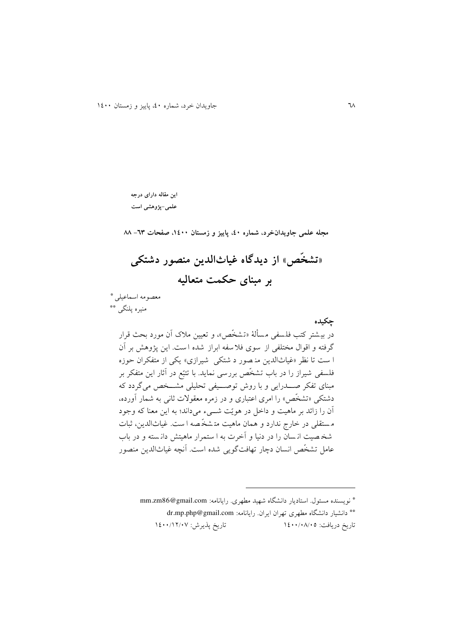**این مقاله دارای درجه علمی-پژوهشی است**

**مجله علمی جاویدانخرد، شماره ،04 پاییز و زمستان ،0044 صفحات -36 88**

**»تشخّص« از دیدگاه غیاثالدین منصور دشتکی بر مبنای حکمت متعالیه**

معصومه اسماعیلی \*

منیره پلنگی \*\*

**چکیده**  در بیشتر کتب فلسفی مسألهٔ «تشخّص» و تعیین ملاک آن مورد بحث قرار گرفته و اقوال مختلفی از سوی فال سفه ابراز شده ا ست. اين پژوهش بر آن ا ست تا نظر «غیاثالدین من صور د شتکی شیرازی» یکی از متفکران حوزه .<br>فلسفی شیراز را در باب تشخّص بررسی نماید. با تتبّع در آثار این متفکر بر مبنای تفکر صدددرايی و با روو توصددیفی تحلیلی مشددخص میگردد که دشتکی «تشخّص» را امری اعتباری و در زمره معقولات ثانی به شمار آورده، آن را زائد بر ماهیت و داخل در هويّت شددیم میداند؛ به اين معنا که وجود م ستقلی در خار ج ندارد و همان ماهیت مت شخّ صه ا ست . غیاثالدين، ثبات شخ صیت ان سان را در دنیا و آخرت به ا ست مرار ماهیتش دان سته و در باب عامل تشخّص انسان دچار تهافت گويی شده است. آنچه غیاث الدين منصور

نويسنده مسئول. استاديار دانشگاه شهید مطهری. رايانامه: com.gmail@86zm.mm\* دانشیار دانشگاه مطهری تهران ايران. رايانامه: [com.gmail@php.mp.dr](mailto:dr.mp.php@gmail.com)\*\* تاريخ دريافت: ١٤٠٠/٠٨/٠٥ تاريخ پذيرش: ١٤٠٠/١٢/٠٧

 $\overline{a}$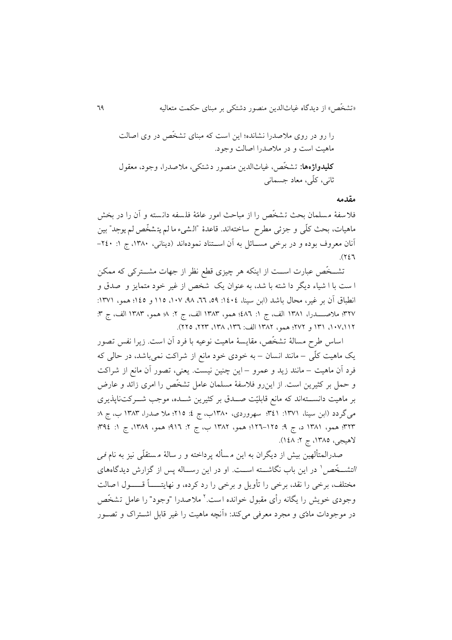را رو در روی مالصدرا نشانده؛ اين است که مبنای تشخّص در وی اصالت ماهیت است و در مالصدرا اصالت وجود. **کلیدواژهها:** تشخّص ، غیاثالدين منصور دشتکی ، مالصدرا ، وجود، معقول ثانی، کلّی، معاد جسمانی

**مقدمه**

فلاسفهٔ مسلمان بحث تشخّص را از مباحث امور عامّهٔ فلسفه دانسته و آن را در بخش ماهیات، بحث کلّی و جزئی مطرح ً ساختهاند. قاعدهٔ "الشّیء ما لم یتشخص لم یوجد" بین **:** آنان معروف بوده و در برخی مســائل به آن اســتناد نمودهاند (دينانی، ۱۳۸۰، ج ۱: ۲٤٠- $.$ ( $757$ 

تشــخّص عبارت اســت از اينکه هر چيزی قطع نظر از جهات مشــترکی که ممکن ا ست با ا شياء ديگر دا شته با شد، به عنوان يک شخص از غير خود متمايز و صدق و انطباق آن بر غیر، محال باشد (ابن سینا، ١٤٠٤: ٥٩، ٦٦، ٩٨، ١٠٧، ١١٥ و ١٤٥؛ همو، ١٣٧١: 816؛ مالصددددرا، 0860 الف، ج :0 664؛ همو، 0868 الف، ج :1 6؛ همو، 0868 الف، ج :8 ١٠٧،١١٢، ١٣١ و ٢٧٢؛ همو، ١٣٨٢ الف: ١٣٦، ١٣٨، ٢٢٥، ٢٢٥).

اساس طرح مسالهٔ تشخّص، مقايسهٔ ماهیت نوعیه با فرد آن است. زیرا نفس تصور يک ماهیت کلّی – مانند انسان – به خودی خود مانع از شراکت نم یباشد، در حالی که فرد آن ماهیت – مانند زيد و عمرو – اين چنین نیست . يعنی، تصور آن مانع از شراکت و حمل بر کثیرين است. از اينرو فالسفة مسلمان عامل تشخّص را امری زائد و عارض بر ماهیت دانسددتهاند که مانع قابلیّت صدددق بر کثیرين شددده، موجب شددرکت ناپذيری میگردد (ابن سینا، ۱۳۷۱: ۳٤۱؛ سهروردی، ۱۳۸۰ب، ج ٤: ۲۱۵؛ ملا صدرا، ۱۳۸۳ ب، ج ۸: ٣٢٣؛ همو، ١٣٨١ د، ج 4: ١٢٥٥-١٢٩٢؛ همو، ١٣٨٢ ب، ج ٢: ٩١٤؛ ج ١: ٣٩٤، ج ١: ٣٩٤ لاهیجی، ۱۳۸۵، ج ۲: ۱٤۸).

صدرالمتألهین بیش از دیگران به این مسأله پرداخته و ر سالهٔ مستقلّی نیز به نام فی *التشــخّص* ٰ در اين باب نگاشـــته اســـت. او در اين رســـاله پس از گزارش ديدگاههای مختلف، برخی را نقد، برخی را تأویل و برخی را رد کرده، و نهایتـــــاً قـــــول اصالت وجودی خویش را یگانه رأی مقبول خوانده است.<sup>۲</sup> ملاصدرا "وجود" را عامل تشخّص در موجودات مادّی و مجرد معرفی میکند: »آنچه ماهیت را غیر قابل اشدتراک و تصدور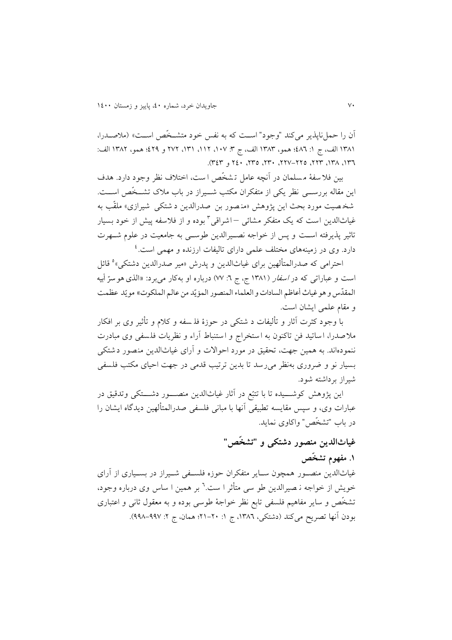آن را حمل ناپذير می کند "وجود" است که به نفس خود متشخّص است» (ملاصـدرا، ١٣٨١ الف، ج ١: ٤٨٦؛ همو، ١٣٨٣ الف، ج ٣: ١٠٧، ١٢١، ١٣١، ٢٧٢ و ٤٢٩؛ همو، ١٣٨٢ الف: ،084 ،086 ،118 ،116-116 ،184 ،186 164 و 868(.

بین فلا سفهٔ مسلمان در آنچه عامل تشخّص ا ست، اختلاف نظر وجود دارد. هدف اين مقاله بررســـي نظر يکی از متفکران مکتب شـــيراز در باب ملاک تشـــخّص اســـت. شخصیت مورد بحث این پژوهش «منصور بن صدرالدین د شتکی شیرازی» ملقّب به غیاثالدین است که یک متفکر مشائ<sub>ی</sub> —اشراقی<sup>۳</sup> بوده و از فلاسفه پیش از خود بسیار تاثیر پذيرفته اسدت و پس از خواجه نصدیرالدين طوسدی به جامعیت در علوم شدهرت دارد. وی در زمینههای مختلف علمی دارای تالیفات ارزنده و مهمی است.<sup>٤</sup>

احترامی که صدرالمتألهین برای غیاثالدین و پدرش «میر صدرالدین دشتکی»<sup>ه</sup> قائل ّست و عبارات<sub>ی</sub> که در *اسفار* (۱۳۸۱ ج، ج ٦: ۷۷) درباره او بهکار می برد: «الذی هو سرّ أبیه المقدّس و هو غياث أعاظم السادات و العلماء المنصور المؤيّد من عالم الملكوت» مويّد عظمت .<br>د ֡֡֓ و مقام علمی ايشان است.

با وجود کثرت آثار و تألیفات د شتکی در حوزهٔ فلـ سفه و کلام و تأثیر وی بر افکار ملاصدرا، اساتيد فن تاکنون به استخراج و استنباط آراء و نظريات فلسفي وی مبادرت ننمودهاند. به همین جهت، تحقیق در مورد احواالت و آرای غیاثالدين منصور دشتک ی بسیار نو و ضروری بهنظر می رسد تا بدین ترتیب قدمی در جهت احیای مکتب فلسفی شیراز برداشته شود.

اين پژوهش کوشـــيده تا با تتبّع در آثار غياثالدين منصـــور دشـــتکی وتدقیق در عبارات وی، و سپس مقايسه تطبيقی آنها با مبانی فلسفی صدرالمتألهین ديدگاه ايشان را در باب "تشخّص" واکاوی نمايد.

# **غیاثالدین منصور دشتکی و "تشخّص"**

**.0 مفهوم تشخّص**

غیاثالدين منصدور همچون سداير متفکران حوزه فلسدفی شدیراز در بسدیاری از آرای خويش از خواجه ن<sub>ـ</sub> صيرالدين طو سی متأثر ا ست.<sup>٦</sup> بر همين ا ساس وی درباره وجود، تشخّص و ساير مفاهیم فلسفی تابع نظر خواجة طوس ی بوده و به معقول ثانی و اعتباری بودن آنها تصريح مي کند (دشتکي، ١٣٨٦، ج ١: ٢٠-٢١؛ همان، ج ٢: ٩٩٧-٩٩٨).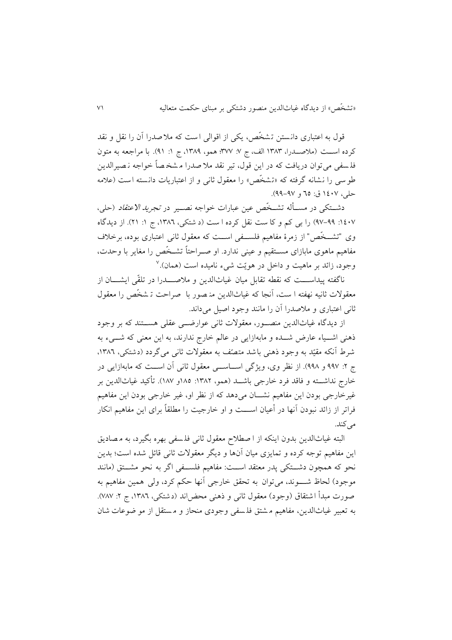قول به اعتباری دانستن تشخّص، یکی از اقوالی است که ملا صدرا آن را نقل و نقد کرده اسـت (ملاصـدرا، ١٣٨٣ الف، ج ٧: ٣٧٧؛ همو، ١٣٨٩، ج ١: ٩١). با مراجعه به متون فل سفی می توان دريافت که در اين قول، تیر نقد مال صدرا م شخ صاـ خواجه ن صیرالد ين طوسی را نشانه گرفته که »تشخّص « را معقول ثانی و از اعتباريات دانسته است )عالمه حلي، ١٤٠٧ ق: ٦٥ و ٩٧-٩٩).

دشــتکی در مســأله تشــخّص عین عبارات خواجه نصــیر در *تجرید الاعتقاد* (حلی، ١٤٠٧: ٩٩-٩٧) را بی کم و کا ست نقل کرده ا ست (د شتکی، ١٣٨٦، ج ١: ٢١). از ديدگاه وی "تشــخّص" از زمرهٔ مفاهیم فلســفی اســت که معقول ثانی اعتباری بوده، برخلاف مفاهیم ماهوی مابازای مسدتقیم و عینی ندارد. او صدراحتاـ تشدخّص را مغاير با وحدت، وجود، زائد بر ماهیت و داخل در هويّت شیء نامیده است (همان).<sup>۷</sup>

ناگفته پيداســـت که نقطه تقابل ميان غياثالدين و ملاصــــدرا در تلقّی ايشــــان از معقوالت ثانیه نهفته ا ست ، آنجا که غیاثالدين من صور با صراحت ت شخّص را معقول ثانی اعتباری و مالصدرا آن را مانند وجود اصیل میداند.

از ديدگاه غیاثالدين منصددور، معقوالت ثانی عوارضددی عقلی هسددتند که بر وجود ذهنی اشــياء عارض شــده و مابهازايی در عالم خارج ندارند، به اين معنی که شـــیء به شرط آنکه مقیّد به وجود ذهنی باشد متصّف به معقولات ثانی می گردد (دشتکی، ۱۳۸٦. ج ۲: ۹۹۷ و ۹۹۸). از نظر وی، ويژگی اســـاســـی معقول ثانی آن اســـت که مابهازايی در خارج نداشـــته و فاقد فرد خارجی باشـــد (همو، ١٣٨٢: ١٨٥و ١٨٧). تأکید غیاثالدین بر غیرخارجی بودن اين مفاهیم نشــان می۵هد که از نظر او، غیر خارجی بودن این مفاهیم فراتر از زائد نبودن آنها در أعیان اســـت و او خارجیت را مطلقاً برای این مفاهیم انکار می کند.

البته غیاثالدین بدون اینکه از ا صطلاح معقول ثانی فلسفی بهره بگیرد، به مصادیق اين مفاهیم توجه کرده و تمايزی میان آنها و ديگر معقوالت ثانی قائل شده است؛ بدين نحو که همچون دشتکی پدر معتقد است: مفاهیم فلسفی اگر به نحو مشتق (مانند موجود) لحاظ شـــوند، می توان به تحقق خارجی آنها حکم کرد، ولی همین مفاهیم به صورت مبدأ اشتقاق (وجود) معقول ثانی و ذهنی محض!ند (دشتکی، ١٣٨٦، ج ٢: ٧٨٧). به تعبیر غیاثالدين، مفاهیم م شتق فل سفی وجودی منحاز و م ستقل از مو ضوعات شان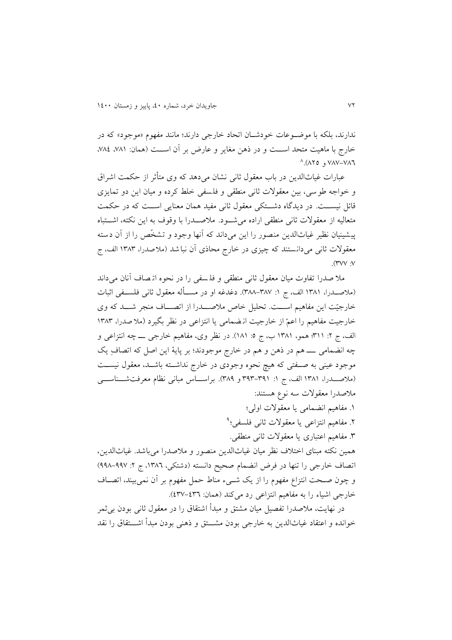ندارند، بلکه با موضدوعات خودشدان اتحاد خارجی دارند؛ مانند مفهوم »موجود« که در خارج با ماهيت متحد اسـت و در ذهن مغاير و عارض بر آن اسـت (همان: ،٨٨) ،٧٨٤،  $^{\wedge}$  (AYO , VAV-VAT

عبارات غیاثالدين در باب معقول ثانی نشان می دهد که وی متأثر از حکمت اشراق و خواجه طوسی ، بین معقوالت ثانی منطقی و فلسفی خلط کرده و میان اين دو تمايزی قائل نیســت. در دیدگاه دشــتکی معقول ثانی مفید همان معنایی اســت که در حکمت متعالیه از معقوالت ثانی منطقی اراده میشددود. مالصدددرا با وقوف به اين نکته، اشددتباه پیشینیان نظیر غیاثالدين منصور را اين میداند که آنها وجود و تشخّص را از آن دسته معقوالت ثانی میدانستند که چیزی در خارج محاذی آن نباشد )مالصدرا، 0868 الف، ج  $\Lambda$ 

مال صدرا تفاوت میان معقول ثانی منطقی و فل سفی را در نحوه ات صاف آنان می داند (ملاصــدرا، ١٣٨١ الف، ج ١: ٣٨٧–٣٨٨). دغدغه او در مســأله معقول ثانی فلســفی اثبات خارجیّت این مفاهیم اســت. تحلیل خاص ملاصـــدرا از اتصـــاف منجر شـــد که وی خارجیت مفاهیم را اعمّ از خارجیت ان ضمامی یا انتزاعی در نظر بگیرد (ملا صدرا، ۱۳۸۳ الف، ج ۲: ۳۱۱؛ همو، ۱۳۸۱ ب، ج ٥: ۱۸۱). در نظر وی، مفاهیم خارجی ــــ چه انتزاعی و چه انضمامی ــــ هم در ذهن و هم در خارج موجودند؛ بر پايهٔ اين اصل که اتصافِ يک موجود عینی به صـفتی که هیچ نحوه وجودی در خارج نداشــته باشــد، معقول نیســت (ملاصــدرا، ۱۳۸۱ الف، ج ۱: ۳۹۱-۳۹۳ و ۳۸۹). براســاس مبانی نظام معرفتشــناســـی مالصدرا معقوالت سه نوع هستند:

> .0 مفاهیم انضمامی يا معقوالت اولی؛ ۲. مفاهیم انتزاعی یا معقولات ثانی فلسفی؛<sup>۹</sup> .8 مفاهیم اعتباری يا معقوالت ثانی منطقی.

همین نکته مبنای اختالف نظر میان غیاثالدين منصور و مالصدرا میباشد. غیاثالدين، اتصاف خارجی را تنها در فرض انضمام صحیح دانسته (دشتکی، ١٣٨٦، ج ٢: ٩٩٧-٩٩٨) و چون صدحت انتزاع مفهوم را از يک شدیم مناط حمل مفهوم بر آن نمیبیند، اتصداف خارجی اشیاء را به مفاهیم انتزاعی رد میکند (همان: ٤٣٧-٤٣٧).

در نهایت، ملاصدرا تفصیل میان مشتق و مبدأ اشتقاق را در معقول ثانی بودن بی ثمر خوانده و اعتقاد غیاثالدين به خارجی بودن مشددتق و ذهنی بودن مبدأ اشددتقاق را نقد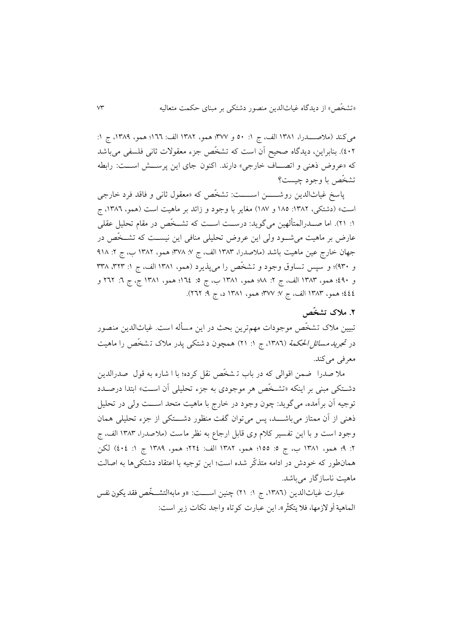میکند )مالصددددرا، 0860 الف، ج :0 64 و 866؛ همو، 0861 الف: 044؛ همو، ،0866 ج :0 641(. بنابراين، ديدگاه صحیح آن است که تشخّص جزم معقوالت ثانی فلسفی میباشد که «عروض ذهنی و اتصاف خارجی» دارند. اکنون جای این پرسشش است: رابطه تشخّص با وجود چیست؟

پاسخ غیاثالدین روشـــــن اســـــت: تشخّص که «معقول ثانی و فاقد فرد خارجی است» (دشتکی، ۱۳۸۲: ۱۸۵ و ۱۸۷) مغاير با وجود و زائد بر ماهيت است (همو، ۱۳۸۲، ج ۰: ۲۱). اما صــدرالمتألهین میگوید: درســت اســت که تشــخّص در مقام تحلیل عقلی عارض بر ماهیت میشددود ولی اين عروض تحلیلی منافی اين نیسددت که تشددخّص در جهان خارج عین ماهیت باشد (ملاصدرا، ١٣٨٣ الف، ج ٧: ٣٧٨؛ همو، ١٣٨٢ ب، ج ٢: ٩١٨ و ۹۳۰)؛ و سپس تساوق وجود و تشخّص را میپذیرد (همو، ۱۳۸۱ الف، ج ۱: ۳۳۳، ۳۳۸ و ٤٩٠؛ همو، ١٣٨٣ الف، ج ٢: ٨٨٠ همو، ١٣٨١ ب، ج ٥: ١٢٤؛ همو، ١٣٨١ ج، ج ٦: ٢٦٢ و 666؛ همو، ١٣٨٣ الف، ج ٧: ٣٧٧؛ همو، ١٣٨١ د، ج ٩: ٢٦٢).

## **.2 مالک تشخّص**

تبیین مالک تشخّص موجودات مهمترين بحث در اين مسأله است. غیاث الدين منص ور در تحبر*ید مسائل الحکمة* (١٣٨٦، ج ١: ٢١) همچون د شتکی پدر ملاک تـشخّص را ماهیت معرفی میکند.

مال صدرا ضمن اقوالی که در باب ت شخّص نقل کرده؛ با ا شاره به قول صدرالدين دشتکی مبنی بر اینکه «تشخّص هر موجودی به جزء تحلیلی آن است» ابتدا درصـدد توجیه آن برآمده، میگويد: چون وجود در خارج با ماهیت متحد اسددت ولی در تحلیل ذهنی از آن ممتاز میباشــــد، پس میتوان گفت منظور دشــــتکی از جزء تحلیلی همان وجود است و با اين تفسير كلام وی قابل ارجاع به نظر ماست (ملاصدرا، ١٣٨٣ الف، ج ٢: ٩؛ همو، ١٣٨١ ب، ج ٥: ١٥٥؛ همو، ١٣٨٢ الف: ٢٢٤؛ همو، ١٣٨٩ ج ١: ٤٠٤) لكن همانطور که خودش در ادامه متذکّر شده است؛ اين توجيه با اعتقاد دشتکیها به اصالت ماهیت ناسازگار میباشد.

عبارت غياث|لدين (١٣٨٦، ج ١: ٢١) چنين اســــت: «و مابهالتشــخص فقد يكون نفس : الماهية أو لازمها، فلا يتکثر». اين عبارت کوتاه واجد نکات زير است: ֦֧֦֧֦֧֦֧֦֧֦֧֦֧֦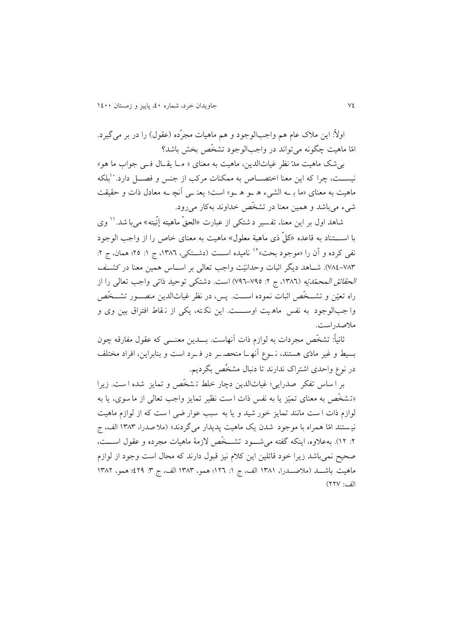اولاً: اين ملاک عام هم واجبالوجود و هم ماهيات مجرّده (عقول) را در بر می گیرد. امّا ماهیت چگونه میتواند در واجبالوجود تشخّص بخش باشد؟

بیشک ماهیت مدّ نظر غیاثالدين، ماهیت به معنای » م دا يق دال ف دی جواب ما هو« نیســت، چرا که این معنا اختصـــاص به ممکنات مرکب از جنس و فصـــل دارد. ``بلکه ماهیت به معنای »ما ب ده الش یم ه دو ه دو « است؛ يعن دی آنچ ده معادل ذات و حقیقت شیم میباشد و همین معنا در تشخّص خداوند بهکار میرود.

شاهد اول بر این معنا، تفسیر دشتکی از عبارت «الحق ماهیته إنیته» میبا شد.'<sup>۱</sup> وی با اســـتناد به قاعده «کلّ ذی ماهیة معلول» ماهیت به معنای خاص را از واجب الوجود نفی کرده و آن را «موجود بحت»<sup>۱۲</sup> نامیده اســت (دشــتکی، ۱۳۸۲، ج ۱: ۲۵؛ همان، ج ۲: ۷۸۴-۷۸۴). شـاهد ديگر اثبات وحدانيّت واجب تعالی بر اســاس همين معنا در کش*ــف الحقائق المحمّديّه* (١٣٨٦، ج ٢: ٧٩٥-٧٩٦) است. دشتکی توحید ذاتی واجب تعالی را از راه تعیّن و تشددخّص اثبات نموده اسددت. پس، در نظر غیاثالدين منصددور تشددخّص وا جب الوجود به نفس ماه یت اوســــت. این نکته، یکی از نقاط افتراق بین وی و مالصدراست.

ثانیاـ: تشخّص مجردات به لوازم ذات آنهاست. بدددين معنددی که عقول مفارقه چون بسیط و غیر مادّی هستند، ن دوع آنه دا منحص در در ف درد است و بنابراين، افراد مختلف در نوع واحدی اشتراک ندارند تا دنبال مشخِّص بگرديم.

بر ا ساس تفکر صدرايی؛ غیاثالدين دچار خلط ت شخّص و تمايز شده ا ست. زيرا «تـشخّص به معنای تمیّز یا به نفس ذات است نظیر تمایز واجب تعالی از ما سوی، یا به لوازم ذات ا ست مانند تمايز خور شيد و يا به سبب عوار ضي ا ست كه از لوازم ماهيت نیمستند امّا همراه با موجود شدن يک ماهيت پديدار میگردند» (ملا صدرا، ۱۳۸۳ الف، ج ۲: ۱۲). بهعلاوه، اينکه گفته می شـود تشــخّص لازمهٔ ماهيات مجرده و عقول اســـت، صحیح نمیباشد زيرا خود قائلین اين کالم نیز قبول دارند که محال است وجود از لوازم ماهیت باشـــد (ملاصـــدرا، ۱۳۸۱ الف، ج ۱: ۱۲۹: همو، ۱۳۸۳ الف، ج ۳: ۶۹۹؛ همو، ۱۳۸۲ الف: 116(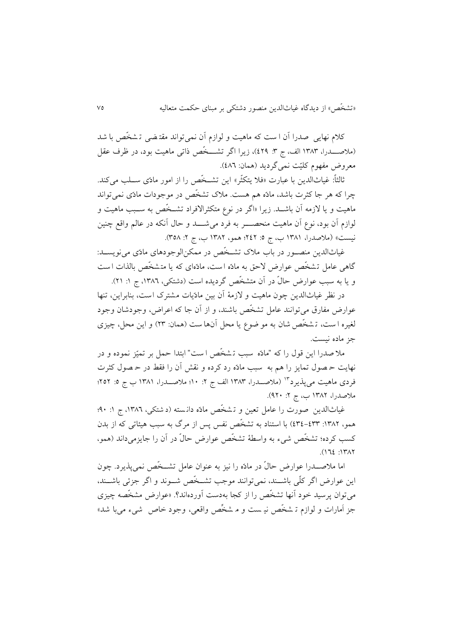کلام نهايی صدرا آن ا ست که ماهيت و لوازم آن نمی تواند مقتـضی تـ شخّص با شد (ملاصــــــــــــدرا، ١٣٨٣ الف، ج ٣: ٤٢٩)، زيرا اگر تشــــــخّص ذاتی ماهيت بود، در ظرف عقل معروض مفهوم کليّت نمي گرديد (همان: ٤٨٦).

ثالثاً: غیاثالدین با عبارت «فلا يتکثّر» اين تشــخّص را از امور مادّی ســلب می کند. چرا که هر جا کثرت باشد، مادّه هم هست. مالک تشخّص در موجودات مادّی نمیتواند ماهیت و یا لازمه آن باشــد. زیرا «اگر در نوع متکثرالافراد تشــخّص به ســبب ماهیت و لوازم آن بود، نوع آن ماهیت منحصــــر به فرد می شـــــد و حال آنکه در عالم واقع چنین نیست» (ملاصدرا، ۱۳۸۱ ب، ج ٥: ٢٤٢؛ همو، ۱۳۸۲ ب، ج ۲: ۳٥۸).

غیاثالدين منصدور در باب مالک تشدخّص در ممکنالوجودهای مادّی مینويسدد: گاهی عامل تشخّص عوارض لاحق به مادّه است، مادّهای که یا متشخّص بالذات است و يا به سبب عوارض حالّ در آن متشخّص گرديده است (دشتکی، ١٣٨٦، ج ١: ٢١).

در نظر غياثالدين چون ماهيت و لازمهٔ آن بين مادّيات مشترک است، بنابراين، تنها عوارض مفارق می توانند عامل تشخّص باشند، و از آن جا که اعراض، وجودشان وجود لغیره ا ست، تشخّص شان به مو ضوع يا محل آنها ست (همان: ٢٣) و اين محل، چيزی جز ماده نیست.

مال صدرا اين قول را که "مادّه سبب ت شخّص ا ست " ابتدا حمل بر تمیّز نموده و در نهايت ح صول تما يز را هم به سبب مادّه رد کرده و نقش آن را فقط در ح صول کثرت فردي ماهيت مي يذيرد<sup>۱۳</sup> (ملاصــدرا، ۱۳۸۳ الف ج ۲: ۱۰؛ ملاصــدرا، ۱۳۸۱ ب ج ٥: ۲۵۲؛ ملاصدرا، ١٣٨٢ ب، ج ٢: ٩٢٠).

غیاثالدین صورت را عامل تعین و تشخّص مادّه دانسته (دشتکی، ۱۳۸۲، ج ۱: ۹۰؛ همو، :0861 686-688( با استناد به تشخّص نفس پس از مرگ به سبب هیئاتی که از بدن کسب کرده؛ تشخّص شیم به واسطة تشخّص عوارض حالّ در آن را جايزمیداند )همو،  $(172:1717)$ 

اما مالصدددرا عوارض حالّ در مادّه را نیز به عنوان عامل تشددخّص نمیپذيرد. چون اين عوارض اگر کلّی باشــند، نمی توانند موجب تشــخّص شــوند و اگر جزئی باشــند، میتوان پرسید خود آنها تشخّص را از کجا بهدست آوردهاند؟. »عوارض مشخّصه چیزی جز اَمارات و لوازم تـ شخّص نیـ ست و مـ شخّص واقعی، وجود خاص شیء می با شد»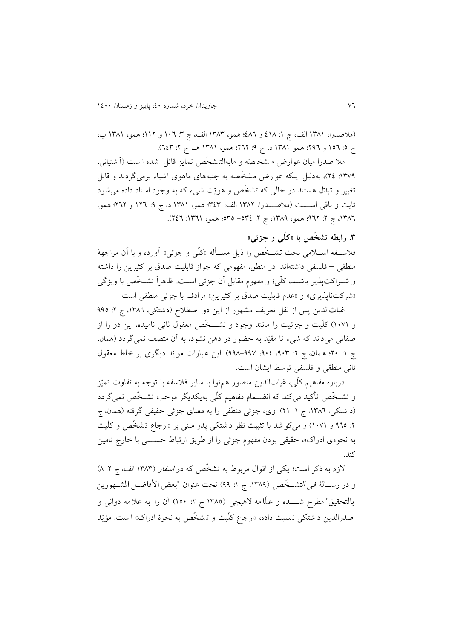(ملاصدرا، ١٣٨١ الف، ج ١: ٤١٨ و ٤٨٦؛ همو، ١٣٨٣ الف، ج ٣: ١٠٦ و ١١٢؛ همو، ١٣٨١ ب، ج 0: ١٥٦ و ٢٩٦؛ همو ١٣٨١ د، ج ٩: ٢٦٢؛ همو، ١٣٨١ هـ، ج ٢: ٦٤٣).

ملا صدرا میان عوارض م شخّصّه و مابهالتشخّص تمایز قائل شده ا ست (آ شتیانی، ۱۳۷۹: ۲٤)، بهدلیل اینکه عوارض مشخّصه به جنبههای ماهوی اشیاء برمی گردند و قابل تغییر و تبدّل هستند در حالی که تشخّص و هویّت شیء که به وجود اسناد داده می شود ثابت و باق ی اسدددت )مالصددددرا، 0861 الف: 868؛ همو، 0860 د، ج :6 014 و 141؛ همو، ٦٨٦٦، ج ٢: ٩٦٢؛ همو، ١٣٨٩، ج ٢: ٣٥٤- ٣٥٥؛ همو، ١٣٦١: ٢٤٦).

## **.6 رابطه تشخّص با »کلّی و جزئی«**

فلاســفه اســـلامی بحث تشــخّص را ذيل مســأله «کلّی و جزئی» آورده و با آن مواجههٔ منطقی – فلسفی داشته اند. در منطق، مفهومی که جواز قابلیت صدق بر کثیرين را داشته و شدراکتپذير باشدد، کلّی؛ و مفهوم مقابل آن جزئی اسدت. ظاهراـ تشدخّص با ويژگی «شرکتناپذيری» و «عدم قابليت صدق بر کثيرين» مرادف با جزئی منطقی است.

غیاثالدین پس از نقل تعریف مشهور از این دو اصطلاح (دشتکی، ١٣٨٦، ج ٢: ٩٩٥ و 0460( کلّیت و جزئیت را مانند وجود و تشدددخّص معقول ثانی نامیده، اين دو را از صفاتی می داند که شیم تا مقیّد به حضور در ذهن نشود، به آن متصف نمی گردد )همان، ج ١: ٢٠؛ همان، ج ٢: ٩٠٢، ٩٠٤-٩٩٨-٩٩٨). اين عبارات مو يّد ديگري بر خلط معقول ثانی منطقی و فلسفی توسط ايشان است.

درباره مفاهیم کلّی، غیاثالدين منصور همنوا با ساير فالسفه با توجه به تفاوت تمیّز و تشدخّص تأکید میکند که انضدمام مفاهیم کلّی بهيکديگر موجب تشدخّص نمیگردد (د شتکی، ۱۳۸٦، ج ۱: ۲۱). وی، جزئی منطقی را به معنای جزئی حقیقی گرفته (همان، ج ۲: ۹۹۵ و ۱۰۷۱) و میکو شد با تثبیت نظر د شتکی پدر مبنی بر «ارجاع تشخّص و کلّیت به نحوهی ادراک»، حقیقی بودن مفهوم جزئی را از طریق ارتباط حســـی با خارج تامین کند.

لازم به ذکر است؛ يکی از اقوال مربوط به تشخّص که در *اسفار* (١٣٨٣ الف، ج ٢: ٨) و در رســالهٔ ف*ی التشــخّص* (١٣٨٩، ج ١: ٩٩) تحت عنوان "بعض الأفاضــل المشــهورين بالتحقیق" مطرح شــــده و علّامه لاهیجی (١٣٨٥ ج ٢: ١٥٠) آن را به علامه دوانی و صدرالدين د شتکي نسبت داده، «ارجاع کلّيت و تـشخّص به نحوهٔ ادراک» ا ست. مؤيّد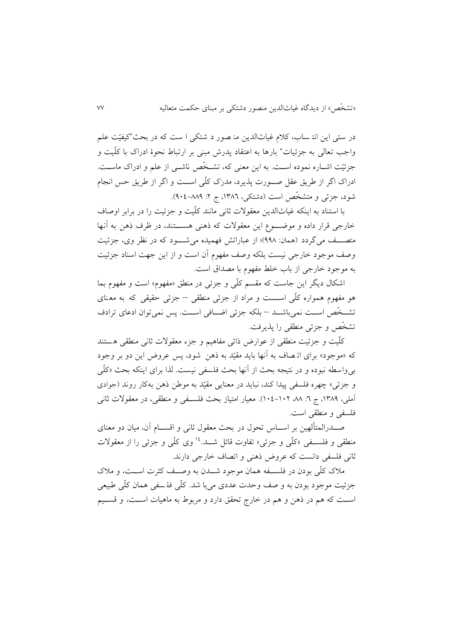در ستی اين انت ساب، کلام غياثالدين من صور د شتکی ا ست که در بحث"کیفیّت علم واجب تعالی به جزئیات" بارها به اعتقاد پدرش مبنی بر ارتباط نحوهٔ ادراک با کلّیت و جزئیّت اشداره نموده اسدت. به اين معنی که، تشدخّص ناشدی از علم و ادراک ماسدت. ادراک اگر از طريق عقل صددورت پذيرد، مدرَک کلّی اسددت و اگر از طريق حس انجام شود، جزئی و متشخّص است (دشتکی، ۱۳۸۲، ج ۲: ۸۸۹–۰۹۰٤).

با استناد به اينکه غیاثالدين معقوالت ثانی مانند کلّیت و جزئیت را در برابر اوصاف خارجی قرار داده و موضـوع اين معقولات که ذهنی هســـتند، در ظرف ذهن به آنها متصف میگردد (همان: ۹۹۸)؛ از عباراتش فهمیده می شـود که در نظر وی، جزئیت وصف موجود خارجی نیست بلکه وصف مفهوم آن است و از اين جهت اسناد جزئیت به موجود خارجی از باب خلط مفهوم با مصداق است.

اشکال ديگر اين جاست که مقسم کلّی و جزئی در منطق «مفهوم» است و مفهوم بما هو مفهوم همواره کلّی اســـت و مراد از جزئی منطقی – جزئی حقیقی که به معنای تشخّص است نمی باشـد – بلکه جزئی اضـافی اسـت. پس نمی توان ادعای ترادف تشخّص و جزئی منطقی را پذيرفت.

کلّیت و جزئیت منطقی از عوارض ذاتی مفاهیم و جزم معقوالت ثانی منطقی ه ستند که »موجود« برای ات صاف به آنها بايد مقیّد به ذهن شود، پس عروض اين دو بر وجود بیواسطه نبوده و در نتیجه بحث از آنها بحث فلسفی نیست. لذا برای اينکه بحث »کلّی و جزئی» چهره فلسفی پیدا کند، نباید در معنایی مقیّد به موطن ذهن بهکار روند (جوادی آملی، ،0866 ج :4 ،66 046-041(. معیار امتیاز بحث فلسدفی و منطقی، در معقوالت ثانی فلسفی و منطقی است.

صــدرالمتألهین بر اســـاس تحول در بحث معقول ثانی و اقســـام آن، میان دو معنای منطقی و فلسـفی «کلّی و جزئی» تفاوت قائل شــد.<sup>۱۶</sup> وی کلّی و جزئی را از معقولات ثانی فلسفی دانست که عروض ذهنی و اتصاف خارجی دارند.

مالک کلّی بودن در فلسددفه همان موجود شدددن به وصددف کثرت اسددت، و مالک جزئیت موجود بودن به و صف وحدت عددی می با شد . کلّی فل سفی همان کلّی طبیعی اسددت که هم در ذهن و هم در خارج تحقق دارد و مربوط به ماهیات اسددت، و قسددیم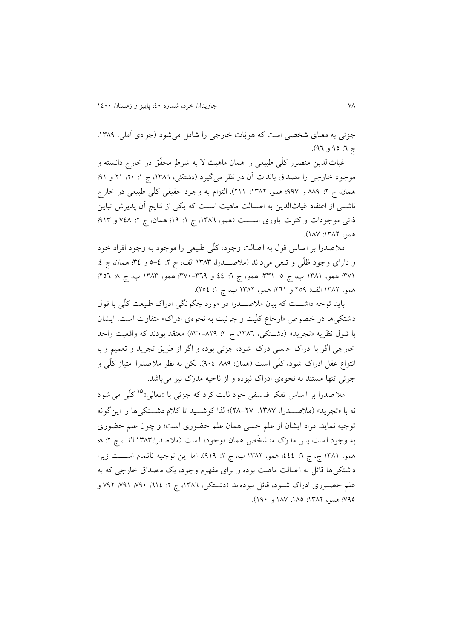جزئی به معنای شخصی است که هویّات خارجی را شامل می شود (جوادی آملی، ۱۳۸۹، ج ٦: ٩٥ و ٩٦).

غیاثالدين منصور کلّی طبیعی را همان ماهیت ال به شرطِ محقّق در خارج دانسته و موجود خارجی را مصداق بالذات آن در نظر میگیرد (دشتکی، ۱۳۸۲، ج ۱: ۲۰، ۲۱ و ۹۱؛ همان، ج ۲: ۸۸۹ و ۹۹۷؛ همو، ۱۳۸۲: ۲۱۱). التزام به وجود حقیقی کلّی طبیعی در خارج ناشبی از اعتقاد غیاثالدین به اصـالت ماهیت اسـت که یکی از نتایج آن پذیرش تباین ذاتی موجودات و کثرت باوری اســـت (همو، ١٣٨٦، ج ١: ١٩؛ همان، ج ٢: ٧٤٨ و ٩١٣؛ همو، ١٣٨٢: ١٨٧).

مالصدرا بر اساس قول به اصالت وجود، کلّی طبیعی را موجود به وجود افراد خود و دارای وجود ظلّی و تبعی میداند (ملاصـــدرا، ١٣٨٣ الف، ج ٢: ٤-٥ و ٣٤؛ همان، ج ٤: ١٣٧١؛ همو، ١٣٨١ ب، ج ٥: ٣٣١؛ همو، ج ٦: ٤٤ و ٣٥٩-٢٧٠؛ همو، ١٣٨٣ ب، ج ٨: ٢٥٦؛ همو، ١٣٨٢ الف: ٢٥٩ و ٢٦١؛ همو، ١٣٨٢ ب، ج ١: ٢٥٤).

بايد توجه داشددت که بیان مالصدددرا در مورد چگونگی ادراک طبیعت کلّی با قول دشتکی ها در خصوص «ارجاع کلّیت و جزئیت به نحوهی ادراک» متفاوت است. ایشان با قبول نظريه «تجريد» (دشتکی، ١٣٨٦، ج ٢: ٨٣٠-٨٣٠) معتقد بودند که واقعیت واحد خارجی اگر با ادراک ح سی درک شود، جزئی بوده و اگر از طريق تجريد و تعمیم و با انتزاع عقل ادراک شود، کلّی است (همان: ۸۸۹-۴۰۶). لکن به نظر ملاصدرا امتیاز کلّی و جزئی تنها مستند به نحوهی ادراک نبوده و از ناحیه مدرَک نیز میباشد.

ملاً صدرا بر ا ساس تفکر فلمسفی خود ثابت کرد که جزئی با «تعالی»<sup>۱۵</sup> کلّی می شود نه با «تجريد» (ملاصــدرا، ١٣٨٧: ٢٧-٢٨)؛ لذا کوشــيد تا کلام دشــتکیها را اينگونه توجیه نمايد: مراد ايشان از علم حسی همان علم حضوری است؛ و چون علم حضوری به وجود ا ست پس مدرک متشخّص همان «وجود» ا ست (ملا صدرا، ۱۳۸۳ الف، ج ۲: ۸؛ همو، ١٣٨١ ج، ج ٦: ٤٤٤؛ همو، ١٣٨٢ ب، ج ٢: ٩١٩). اما اين توجيه ناتمام اســـت زيرا د شتکی ها قائل به ا صالت ماهیت بوده و برای مفهوم وجود، یک مصداق خارجی که به علم حضــوری ادراک شــود، قائل نبودهاند (دشــتکی، ١٣٨٦، ج ٢: ٢١٤، ٧٩٠، ٧٩١، ٧٩٢ و 666؛ همو، :0861 ،066 066 و 064(.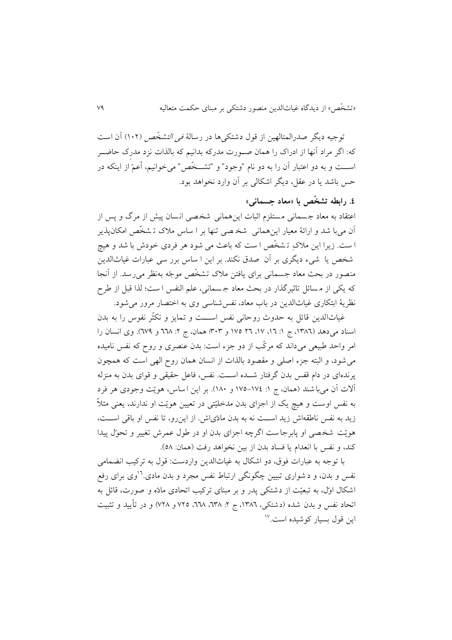توجیه دیگر صدرالمتالهین از قول دشتکی ها در رسالهٔ *فی التشخّص* (۱۰۲) آن است که: اگر مراد آنها از ادراک را همان صـورت مدرکه بدانیم که بالذات نزد مدرک حاضــر اسددت و به دو اعتبار آن را به دو نام "وجود" و "تشددخّص" میخوانیم، أعمّ از اينکه در حس باشد يا در عقل، ديگر اشکالی بر آن وارد نخواهد بود.

## **.0 رابطه تشخّص با »معاد جسمانی«**

اعتقاد به معاد جمسمانی مستلزم اثبات اینهمانی شخصی انسان پیش از مرگ و پس از آن میبا شد و ارائهٔ معیار اینهمانی شخ صی تنها بر ا ساس ملاک تـ شخّص امکانپذير ا ست. زيرا اين ملاکِ تـشخّص ا ست که باعث مي شود هر فردی خودش با شد و هيچ شخص يا شيء ديگری بر آن صدق نکند. بر اين ا ساس برر سي عبارات غياثالدين منصور در بحث معاد جسمانی برای یافتن ملاک تشخّص موجّه بهنظر می٫سد. از آنجا که يکی از م سائل تاثیرگذار در بحث معاد ج سمانی، علم النفس ا ست؛ لذا قبل از طرح نظرية ابتکاری غیاثالدين در باب معاد، نفسشناسی وی به اختصار مرور میشود.

غیاثالدین قائل به حدوث روحانی نفس اســـت و تمایز و تکثّر نفوس را به بدن اسناد می دهد (١٣٨٦، ج ١: ١٦، ١٧، ٢٦ ١٧٥ و ٣٠٣؛ همان، ج ٢: ٦٦٨ و ٦٧٩). وی انسان را امر واحد طبیعی میداند که مرکّب از دو جزم است: بدن عنصری و روح که نفس نامیده میشود، و البته جزم اصلی و مقصود بالذات از انسان همان روح الهی است که همچون پرندهای در دام قفس بدن گرفتار شددده اسددت. نفس، فاعل حقیقی و قوای بدن به منزله آالت آن میبا شند )همان، ج :0 066-066 و 064(. بر اين ا ساس، هويّت وجودی هر فرد به نفس اوست و هیچ یک از اجزای بدن مدخلیّتی در تعیین هویّت او ندارند، یعنی مثلاً زيد به نفس ناطقهاش زيد است نه به بدن مادّیاش. از اين رو، تا نفس او باقی است، هويّت شخصي او پابرجاست اگرچه اجزاي بدن او در طول عمرش تغییر و تحوّل پیدا کند، و نفس با انعدام يا فساد بدن از بين نخواهد رفت (همان: ٥٨).

با توجه به عبارات فوق، دو اشکال به غیاث الدين واردست: قول به ترکیب انضمام ی نفس و بدن، و د شواری تبیین چگونگی ارتباط نفس مجرد و بدن مادی.<sup>۱۶</sup>وی برای رفع اشکال اوّل، به تبعیّت از دشتکی پدر و بر مبنای ترکیب اتحادی مادّه و صورت، ق ائل به اتحاد نفس و بدن شده (دشتکی، ١٣٨٦، ج ٢: ٦٣٨، ٦٦٨، ٢٢٥ و ٢٨/ و در تأييد و تثبيت <sup>06</sup> اين قول بسیار کوشیده است.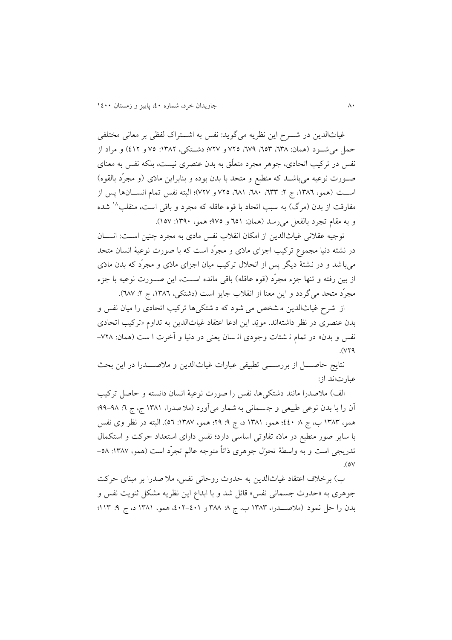غیاثالدين در شددرح اين نظريه میگويد: نفس به اشددتراک لفظی بر معانی مختلفی حمل می شـود (همان: ٦٣٨، ٦٥٣، ٦٧٩، ٢٧٥ و ٢٢٧؛ دشـتکی، ١٣٨٢: ٧٥ و ٤١٢) و مراد از نفس در ترکیب اتحادی، جوهر مجرد متعلّق به بدن عنصری نیست، بلکه نفس به معنای صدورت نوعیه میباشدد که منطبع و متحد با بدن بوده و بنابراين مادّی )و مجرّد بالقوه( اســت (همو، ١٣٨٦، ج ٢: ٦٣٣، ٦٨٠، ٦٨١، ٧٢٥ و ٧٢٧)؛ البته نفس تمام انســـانها پس از مفارقت از بدن (مرگ) به سبب اتحاد با قوه عاقله که مجرد و باقی است، منقلب^` شده و به مقام تجرد بالفعل می رسد (همان: ٦٥١ و ٩٧٥؛ همو، ١٣٩٠: ١٥٧).

توجیه عقالنی غیاثالدين از امکان انقالب نفس مادی به مجرد چنین اسدت: انسدان در نشئه دنیا مجموع ترکیب اجزای مادّی و مجرّد است که با صورت نوعیهٔ انسان متحد میباشد و در نشئ ة ديگر پس از انحالل ترکیب میان اجزای مادّی و مجرّد که بدن مادّی از بين رفته و تنها جزء مجرّد (قوه عاقله) باقی مانده اســت، اين صــورت نوعیه با جزء مجرّد متحد میگردد و اين معنا از انقلاب جايز است (دشتکی، ١٣٨٦، ج ٢: ٦٨٧).

از شرح غیاث الدين م شخص می شود که د شتکی ها ترکیب اتحادی را میان نفس و بدن عنصری در نظر داشتهاند. مويّد اين ادعا اعتقاد غیاثالدين به تداوم »ترکیب اتحادی نفس و بدن» در تمام ن شئات وجودی ان سان يعنی در دنيا و آخرت ا ست (همان: ٧٢٨- $.0179$ 

نتايج حاصــــــل از بررســـــــی تطبیقی عبارات غیاث|لدین و ملاصـــــدرا در اين بحث عبارتاند از:

الف) ملاصدرا مانند دشتکیها، نفس را صورت نوعیهٔ انسان دانسته و حاصل ترکیب آن را با بدن نوعی طبیعی و جسمانی به شمار میآورد (ملاصدرا، ۱۳۸۱ ج، ج ٦: ۹۸–۹۹؛ همو، ١٣٨٣ ب، ج ٨ ٤٤٠؛ همو، ١٣٨١ د، ج ٩: ٢٩؛ همو، ١٣٨٧: ٥٦). البته در نظر وی نفس با ساير صور منطبع در مادّه تفاوتی اساسی دارد؛ نفس دارای استعداد حرکت و استکمال تدريجی است و به واسطهٔ تحوّل جوهری ذاتاً متوجه عالم تجرّد است (همو، ١٣٨٧: ٥٨- $.6v$ 

ب) برخلاف اعتقاد غیاثالدین به حدوث روحانی نفس، ملا صدرا بر مبنای حرکت جوهری به »حدوث جسمانی نفس« قائل شد و با ابداع اين نظريه مشکل ثنويت نفس و بدن را حل نمود (ملاصــــدرا، ١٣٨٣ ب، ج ٨: ٣٨٨ و ٤٠١-٤٠٢. همو، ١٣٨١ د، ج ٩: ١١٣؛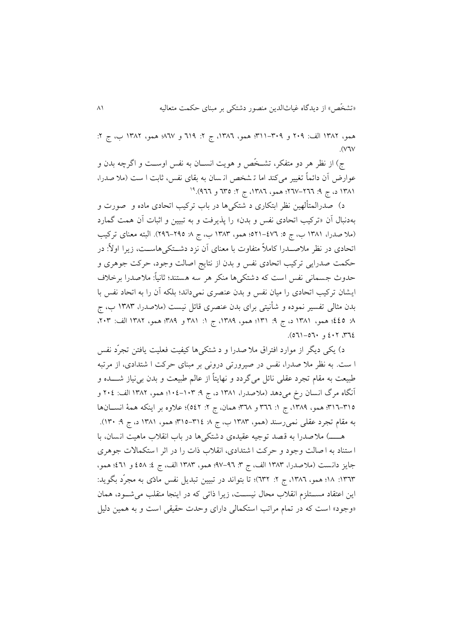همو، ١٣٨٢ الف: ٢٠٩ و ٣٠٩-٣١١؛ همو، ١٣٨٢، ج ٢: ٦١٩ و ٨٦٧؛ همو، ١٣٨٢ ب، ج ٢:  $VV$ 

ج) از نظر هر دو متفکر، تشـخّص و هويت انســان به نفس اوســت و اگرچه بدن و عوارض آن دائماً تغییر میکند اما تـ شخص انـ سان به بقای نفس، ثابت ا ست (ملا صدرا، ١٣٨١ د، ج ٩: ٢٦٦-٢٦٧؛ همو، ١٣٨٦، ج ٢: ٣٥٥ و ٩٦٦).<sup>١٩</sup>

د) صدرالمتألهین نظر ابتکاری د شتکی ها در باب ترکیب اتحادی ماده و صورت و بهدنبال آن »ترکیب اتحادی نفس و بدن« را پذيرفت و به تبیین و اثبات آن همت گمارد (ملا صدرا، ۱۳۸۱ ب، ج ۰: ٤٧٦–٥٢١؛ همو، ١٣٨٣ ب، ج ٨: ٢٩٥–٢٩٦). البته معنای ترکیب اتحادی در نظر ملاصـــدرا کاملاً متفاوت با معنای آن نزد دشـــتکی۵هاســت، زیرا اولاً: در حکمت صدرايي ترکيب اتحادی نفس و بدن از نتايج اصالت وجود، حرکت جوهری و حدوث جسمانی نفس است که دشتکی ها منکر هر سه هستند؛ ثانیاـ: مالصدرا بر خالف ايشان ترکیب اتحادی را میان نفس و بدن عنصری نمی داند؛ بلکه آن را به اتحاد نفس با بدن مثالی تفسیر نموده و شأنیتی برای بدن عنصری قائل نیست (ملاصدرا، ۱۳۸۳ ب، ج 1: 666؛ همو، ١٣٨١ د، ج ٩: ١٣١١؛ همو، ١٣٨٩، ج ١: ٣٨١ و ٣٨٩؛ همو، ١٣٨٢ الف: ٢٠٣،  $(071 - 07)$ ,  $647.77$ 

د) يکی ديگر از موارد افتراق ملا صدرا و د شتکی ها کیفیت فعلیت يافتن تجرّد نفس ا ست. به نظر مال صدرا، نفس در صیرورتی درونی بر مبنای حرکت ا شتدادی، از مرتب ه طبیعت به مقام تجرد عقلی نائل می گردد و نهایتاً از عالم طبیعت و بدن بی نیاز شــــده و آنگاه مرگ انسان رخ می دهد (ملاصدرا، ۱۳۸۱ د، ج ۹: ۱۰۳–۱۰٤؛ همو، ۱۳۸۲ الف: ۲۰٤ و 804-806؛ همو، ،0866 ج :0 844 و 846؛ همان، ج :1 661(؛ عالوه بر اينکه همة انسددانها به مقام تجرد عقلی نمی رسند (همو، ١٣٨٣ ب، ج ٨ ٣١٤-٣١٥: همو، ١٣٨١ د، ج ٩: ١٣٠).

هـــــ) ملاصدرا به قصد توجیه عقیدهی دشتکی ها در باب انقلاب ماهیت انسان، با ا ستناد به ا صالت وجود و حرکت ا شتدادی، انقالب ذات را در اثر ا ستکماالت جوهری جايز دانست (ملاصدرا، ١٣٨٣ الف، ج ٣: ٩٦-٩٧؛ همو، ١٣٨٣ الف، ج ٤: ٤٥٨ و ٤٦١؛ همو، ١٣٦٣: ١٨؛ همو، ١٣٨٦، ج ٢: ٦٣٢)؛ تا بتواند در تبيين تبديل نفس مادّی به مجرّد بگويد: اين اعتقاد مســتلزم انقلاب محال نيســت، زيرا ذاتی که در اينجا منقلب می شــود، همان «وجود» است که در تمام مراتب استکمالی دارای وحدت حقیقی است و به همین دلیل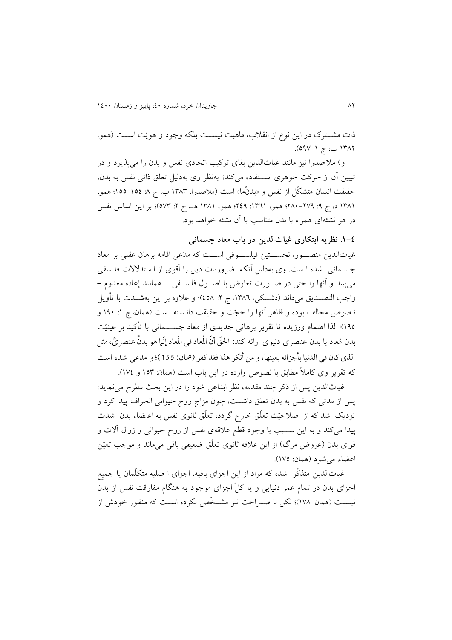ذات مشـترک در اين نوع از انقلاب، ماهيت نيسـت بلکه وجود و هويّت اسـت (همو، ۱۳۸۲ ب، ج ۱: ۵۹۷).

و( مال صدرا نیز مانند غیاثالدين بقای ترکیب اتحادی نفس و بدن را میپذيرد و در تبیین آن از حرکت جوهری اسددتفاده میکند؛ بهنظر وی بهدلیل تعلق ذاتی نفس به بدن، حقیقت انسان متشکّل از نفس و «بدنٌما» است (ملاصدرا، ۱۳۸۳ ب، ج ۸: ۱۵٤–۱۵۵؛ همو، ۱۳۸۱ د، ج ۹: ۲۷۹-۲۸۰؛ همو، ۱۳۶۱: ۲٤۹؛ همو، ۱۳۸۱ هـ، ج ۲: ۵۷۳)؛ بر اين اساس نفس در هر نشئهای همراه با بدن متناسب با آن نشئه خواهد بود.

**.0-0 نظریه ابتکاری غیاثالدین در باب معاد جسمانی**

غیاثالدين منصددور، نخسددتین فیلسددوفی اسددت که مدّعی اقامه برهان عقلی بر معاد ج سمانی شده ا ست. وی بهدلیل آنکه ضروريات دين را أقوی از ا ستدالالت فل سفی میبیند و آنها را حتی در صددورت تعارض با اصددول فلسددفی – همانند إعاده معدوم - واجب التصــديق میداند (دشــتکی، ١٣٨٦، ج ٢: ٤٥٨)؛ و علاوه بر اين بهشــدت با تأويل نه صوص مخالف بوده و ظاهر آنها را حجّت و حقیقت دانسته ا ست (همان، ج ۱: ۱۹۰ و 066(؛ لذا اهتمام ورزيده تا تقرير برهانی جديدی از معاد جسدددمانی با تأکید بر عینیّت بدن مُعاد با بدن عنصری دنیوی ارائه کند: الحقّ أنّ الْمعاد فی المَعاد إنّما هو بدنٌ عنصریٌ، مثل الذي كان في الدنيا بأجزائه بعينها، و من أنكر هذا فقد كفر (همان: 155)؛ و مدعی شده است که تقرير وي کاملاً مطابق با نصوص وارده در اين باب است (همان: ١٥٣ و ١٧٤).

غیاثالدين پس از ذکر چند مقدمه، نظر ابداعی خود را در اين بحث مطرح مینمايد: پس از مدتی که نفس به بدن تعلق داشددت، چون مزاج روح حیوانی انحراف پیدا کرد و نزديک شد که از صالحیّت تعلّق خارج گردد، تعلّق ثانوی نفس به اع ضام بدن شدت پیدا میکند و به اين سددبب با وجود قطع عالقهی نفس از روح حیوانی و زوال آالت و قوای بدن (عروض مرگ) از اين علاقه ثانوی تعلّق ضعیفی باقی میماند و موجب تعیّن اعضام میشود )همان: 066(.

غیاثالدين متذکّر شده که مراد از اين اجزای باقیه، اجزای ا صلیه متکلّمان يا جمیع اجزای بدن در تمام عمر دنیايی و يا کلّ اجزای موجود به هنگام مفارقت نفس از بدن نیسـت (همان: ۱۷۸)؛ لکن با صـراحت نیز مشـخّص نکرده اسـت که منظور خودش از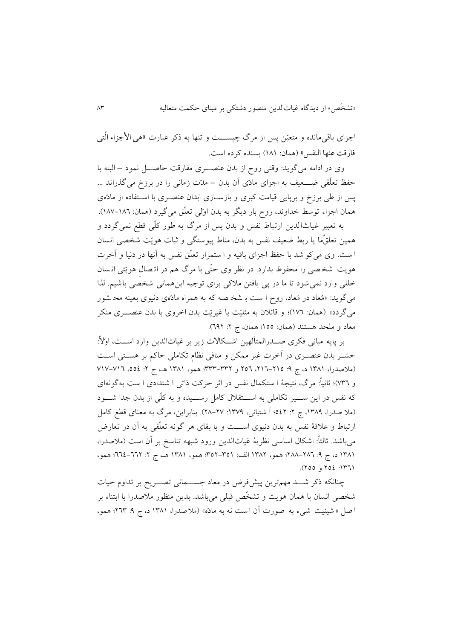اجزای باقی مانده و متعیّن پس از مرگ چیســـت و تنها به ذکر عبارت «هی الأجزاء الّتبی فارقت عنها النفس» (همان: ١٨١) بسنده كرده است.

وی در ادامه میگويد: وقتی روح از بدن عنصددری مفارقت حاصددل نمود – البته با حفظ تعلّقی ضــــعیف به اجزای مادّی آن بدن – مدّت زمانی را در برزخ می گذراند ... پس از طی برزخ و برپايی قیامت کبری و بازسدازی ابدان عنصدری با اسدتفاده از مادّه ی همان اجزام توسط خداوند، روح بار ديگر به بدن اوّلی تعلّق میگیرد )همان: 066-064(.

به تعبیر غیاث الدين ارتباط نفس و بدن پس از مرگ به طور کلّ ی قطع نمیگردد و همین تعلقٌما یا ربط ضعیف نفس به بدن، مناط پیوستگی و ثبات هویّت شخصی انسان ا ست . وی میکو شد با حفظ اجزای باقیه و ا ستمرار تعلّق نفس به آنها در دنیا و آخرت هويت شخ صی را محفوظ بدارد. در نظر وی حتّی با مرگ هم در ات صال هويّتی ان سان خللی وارد نمی شود تا ما در پی یافتن ملاکی برای توجیه این همانی شخصی باشیم. لذا میگويد: »مُعاد در مَعاد، روح ا ست ب شخ صه که به همراه مادّه ی دنیوی بعینه مح شور میگردد» (همان: ١٧٦)؛ و قائلان به مثلیّت يا غیریّت بدن اخروی با بدن عنصـــری منکر معاد و ملحد هستند (همان: ١٥٥؛ همان، ج ٢: ٢٩٢).

بر پايه مبانی فکری صـــدرالمتألهین اشـــکالات زير بر غیاثالدين وارد اســـت، اولأ: حشدر بدن عنصدری در آخرت غیر ممکن و منافی نظام تکاملی حاکم بر هسدتی اسدت (ملاصدرا، ١٣٨١ د، ج ٩: ٢١٥-١٦٦، ٢٥٦ و ٣٣٢-٣٣٣؛ همو، ١٣٨١ هـ، ج ٢: ٥٥٤، ١٧-١٧٧ و 684(؛ ثانیاـ: مرگ، نتیجة ا ستکمال نفس در اثر حرکت ذاتی ا شتدادی ا ست ب هگونهای که نفس در اين ســـير تکاملي به اســـتقلال کامل رســـيده و به کلّی از بدن جدا شـــود )مال صدرا، ،0866 ج :1 661؛ آ شتیانی، :0866 16-16(. بنابراين، مرگ به معنای قطع کامل ارتباط و علاقهٔ نفس به بدن دنیوی اســـت و با بقای هر گونه تعلّقی به آن در تعارض میباشد. ثالثاً: اشکال اساسی نظريهٔ غیاثالدين ورود شبهه تناسخ بر آن است (ملاصدرا، 1٣٨١ د، ج 4: ٢٨٦–٢٨٨؛ همو، ١٣٨٢ الف: ٣٥١–٣٥٢؛ همو، ١٣٨١ هـ، ج ٢: ٦٦٢–٢٦٤؛ همو، ١٣٦١: ٢٥٤ و ٢٥٥).

چنانکه ذکر شـــد مهمترين پيشفرض در معاد جســـمانی تصـــريح بر تداوم حيات شخصی انسان با همان هويت و تشخّص قبلی می باشد. بدين منظور مالصدرا با ابتنام بر ا صل « شیئیت شیء به صورت آن است نه به مادّه» (ملاصدرا، ۱۳۸۱ د، ج ۹: ۲٦۳؛ همو،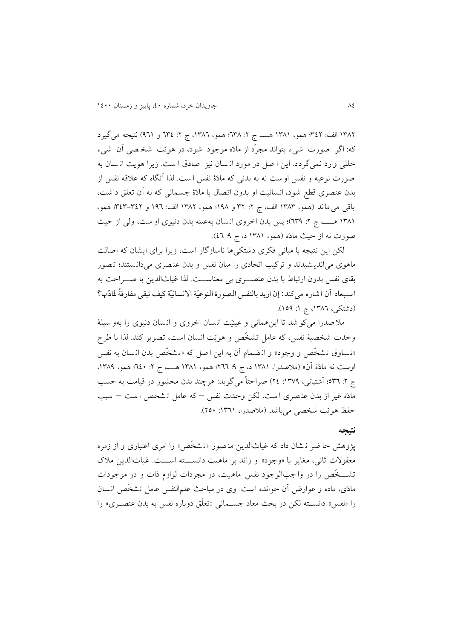١٣٨٢ الف: ٣٤٢؛ همو، ١٣٨١ هــــــــــــــــــ ج ٢: ١٣٨٢، ج 7: ٣٤٤ و ٩٦١) نتيجه می گیرد که: اگر صورت شیم بتواند مجرّد از مادّه موجود شود، در هويّت شخ صی آن شیم خللی وارد نمیگردد. اين ا صل در مورد ان سان نیز صادق ا ست. زيرا هويت ان سان به صورت نوعیه و نفس اوست نه به بدنی که مادّ ة نفس است. لذا آنگاه که عالقه نفس از بدن عنصری قطع شود، انسانیت او بدون اتصال با مادّهٔ جسمانی که به آن تعلق داشت، باقی می ماند )همو، 0868 الف، ج :1 81 و 066؛ همو، 0861 الف: 064 و 868-861؛ همو، 0860 هدددد، ج :1 486(؛ پس بدن اخروی ان سان بهعینه بدن دنیوی او ست، ولی از حیث صورت نه از حیث مادّه (همو، ۱۳۸۱ د، ج ۹: ٤٦).

لکن اين نتيجه با مبانی فکری دشتکی ها ناسازگار است، زيرا برای ايشان که اصالت ماهوی میاندي شیدند و ترکیب اتحادی را میان نفس و بدن عن صری می دان ستند؛ ت ص ور بقای نفس بدون ارتباط با بدن عنصددری بی معناسددت. لذا غیاثالدين با صددراحت به استبعاد أن اشاره ميكند: إن اريد بالنفس الصورة النوعيّة الانسانيّة كيف تبقى مفارقةً لمادّتها؟ (دشتکی، ۱۳۸۲، ج ۱: ۱۵۹).

ملا صدرا می کو شد تا این همانی و عینیّت انسان اخروی و انسان دنیوی را بهو سیلهٔ وحدت شخصیهٔ نفس، که عامل تشخّص و هويّت انسان است، تصوير کند. لذا با طرح «تساوق تشخّص و وجود» و انضمام آن به اين اصل که «تشخّص بدن انسان به نفس اوست نه مادّة آن» (ملاصدرا، ١٣٨١ د، ج ٩: ٢٦٦؛ همو، ١٣٨١ هــــــــ ج ٢: ٢٤٠؛ همو، ١٣٨٩، ج ۲: ٥٣٦؛ آشتیانی، ١٣٧٩: ٢٤) صراحتاً میگوید: هرچند بدن محشور در قیامت به حسب مادّه غیر از بدن عن صری ا ست، لکن وحدت نفس – که عامل ت شخص ا ست – سبب حفظ هويّت شخصی میباشد (ملاصدرا، ١٣٦١: ٢٥٠).

## **نتیجه**

پژوهش حا ضر ن شان داد که غیاثالدين من صور »ت شخّص « را امری اعتباری و از زمره معقولات ثانی، مغاير با «وجود» و زائد بر ماهيت دانسته است. غياث الدين ملاک تشدددخّص را در وا جب الوجود نفس ماه یت، در مجردات لوازم ذات و در موجودات مادّی، ماده و عوارض آن خوانده است. وی در مباحث علمالنفس عامل تشخّص انسان را «نفس» دانســته لکن در بحث معاد جســمانی «تعلّق دوباره نفس به بدن عنصــری» را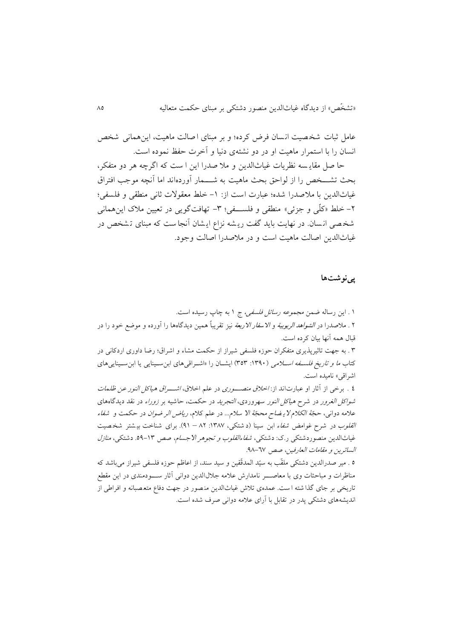عامل ثبات شخصیت انسان فرض کرده؛ و بر مبنای اصالت ماهیت، این همانی شخص انسان را با استمرار ماهیت او در دو نشئهی دنیا و آخرت حفظ نموده است.

حا صل مقاي سه نظريات غیاثالدين و مال صدرا اين ا ست که اگرچه هر دو متفکر، بحث تشـــخص را از لواحق بحث ماهیت به شـــمار آوردهاند اما آنچه موجب افتراق غیاثالدین با ملاصدرا شده؛ عبارت است از: ١– خلط معقولات ثانی منطقی و فلسفی؛ -1 خلط »کلّی و جزئی« منطقی و فلسدددفی؛ -8 تهافتگويی در تعیین مالک اينهمانی شخ صی ان سان . در نهايت بايد گفت ري شه نزاع اي شان آنجا ست که مبنای ت شخص در غیاثالدين اصالت ماهیت است و در مالصدرا اصالت وجود.

# **پینوشتها**

0 . اين رساله ضمن مجموعه رسائل فلسفی، ج 0 به چاپ رسیده است. ۲ . ملاصدرا در *الشواهد الربوبیة و الاسفار الاربعة* نیز تقریباً همین دیدگاهها را آورده و موضع خود را در قبال همه آنها بیان کرده است.

8 . به جهت تاثیرپذيری متفکران حوزه فلسفی شیراز از حکمت مشام و اشراق؛ رضا داوری اردکانی در کتاب *ما و تاريخ فلسـفه اسـلامي* (١٣٩٠: ٣٥٣) ايشـان را «اشـراقیهای ابنِسـينايی يا ابنِسـينايیهای اشراقی» نامیده است.

6 . برخی از آثار او عبارت اند از: اخالق منصدددوری در علم اخالق، اشدددراق هیاکل النور عن ظلمات *شواکل الغرور* در شرح *هیاکل النور سه*روردی، *التجرید* در حکمت، حاشیه بر *زوراء در نقد دیدگاههای* عالمه دوانی، حجّة الکالم الي ضاح محجّة اال سالم ... در علم کالم، رياض الر ضوان در حکمت و شفام ا*لقلوب در شرح غوامض شفاء ابن سینا (د شتکی، ۱۳۸۷: ۸۲ – ۹۱). برای شناخت بی شتر شخصیت* غیاثالدین منصوردشتکی ر.ک: دشتکی، *شفاءالقلوب و تجوهر الاجسام*، صص ١٣-٥٩. دشتکی، *منازل* السائرين و مقامات العارفین، صص .66-46

6 . میر صدرالدين دشتکی ملقّب به سیّد المدقّقین و سید سند، از اعاظم حوزه فلسفی شیراز میباشد که مناظرات و مباحثات وی با معاصــــر نامدارش علامه جلال الدين دوانی آثار ســــودمندی در اين مقطع تاريخی بر جای گذا شته ا ست. عمدهی تلاش غیاثالدين منصور در جهت دفاع متعصبانه و افراطی از انديشههای دشتکی پدر در تقابل با آرای عالمه دوانی صرف شده است.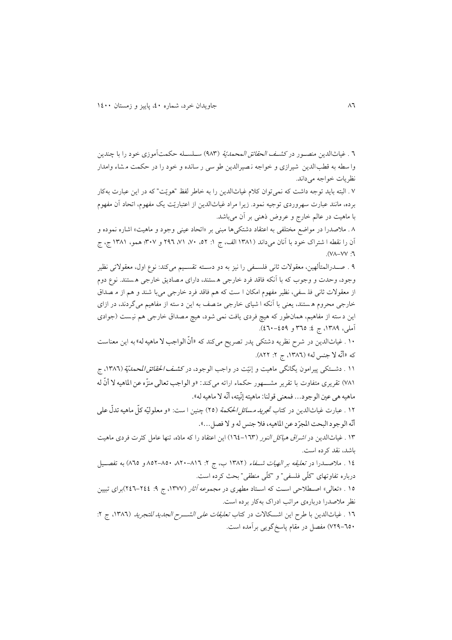4 . غیاثالدين منصدور در کشدف الحقائق المحمديّة )668( سدلسدله حکمتآموزی خود را با چندين وا سطه به قطب الدين شیرازی و خواجه ن صیرالدين طو سی ر سانده و خود را در حکمت م شام وامدار نظريات خواجه میداند.

6 . البته بايد توجه داشت که نمیتوان کالم غیاثالدين را به خاطر لفظ "هويّت" که در اين عبارت بهکار برده، مانند عبارت سهروردی توجیه نمود. زيرا مراد غیاثالدين از اعتباريّت يک مفهوم، اتحاد آن مفهوم با ماهیت در عالم خارج و عروض ذهنی بر آن میباشد.

6 . مالصدرا در مواضع مختلفی به اعتقاد دشتکیها مبنی بر »اتحاد عینی وجود و ماهیت« اشاره نموده و آن را نقطه ا شتراک خود با آنان میداند (۱۳۸۱ الف، ج ۱: ۵۲، ۷۰، ۷۱، ۲۹۲ و ۳۰۷؛ همو، ۱۳۸۱ ج، ج .(VA-VV, 1

6 . صدددرالمتألهین، معقوالت ثانی فلسددفی را نیز به دو دسددته تقسددیم میکند: نوع اول، معقوالتی نظیر وجود، وحدت و وجوب که با آنکه فاقد فرد خارجی ه ستند، دارای م صاديق خارجی ه ستند . نوع دوم از معقوالت ثانی فل سفی، نظیر مفهوم امکان ا ست که هم فاقد فرد خارجی می با شند و هم از م صداق خارجی محروم ه ستند، يعنی با آنکه ا شیای خارجی مت صف به اين د سته از مفاهیم می گردند، در ازای اين د سته از مفاهیم، همان طور که هیچ فردی يافت نمی شود، هیچ م صداق خارجی هم نی ست )جوادی آملي، ١٣٨٩، ج ٤: ٣٦٥ و ٤٩٩-٤٦٠).

۱۰ . غیاثالدین در شرح نظریه دشتکی پدر تصریح میکند که «أنّ الواجب لا ماهیه له» به این معناست که »أّنه ال جنس له« )،0864 ج :1 611(.

١١ . دشـــتکی پیرامون يگانگی ماهيت و إنیّت در واجب الوجود، در کش*ـف الحقائق ا*لمحم*ديّ*ة (١٣٨٦، ج ٧٨١) تقريرى متفاوت با تقرير مشــــهور حکماء ارائه مى کند: «و الواجب تعالى منزّه عن الماهيه لا أنّ له ماهیه هی عین الوجود... فمعنی قولنا: ماهیته إنّیته، أنّه لا ماهیه له».

۱۲ . عبارت غیاثالدین در کتاب *تح<u>ری</u>د مسائل الحک*مة (۲۵) چنین ا ست: «و معلولیّه کلّ ماهیه تدلّ علی أنّه الوجود البحت المجرّد عن الماهيه، فلا جنس له و لا فصل...».

08 . غیاثالدين در اشراق هیاکل النور )046-048( اين اعتقاد را که مادّه، تنها عامل کثرت فردی ماهیت باشد، نقد کرده است.

06 . مالصدددرا در تعلیقه بر الهیات شددفام )0861 ب، ج :1 ،614-604 661-664 و 646( به تفصددیل درباره تفاوتهای "کلّی فلسفی" و "کلّی منطقی" بحث کرده است.

10 . «تعالی» اصـطلاحی اسـت که اسـتاد مطهری در *مجموعه آثار (*۱۳۷۷، ج ۹: ۲٤٤-۲٤٦)برای تبیین نظر مالصدرا دربارهی مراتب ادراک بهکار برده است.

١٦ . غياثالدين با طرح اين اشــكالات در كتاب *تعليقات على الشـــرح الجديد للتجريد* (١٣٨٦، ج ٢: 616-464( مفصل در مقام پاسخگويی برآمده است.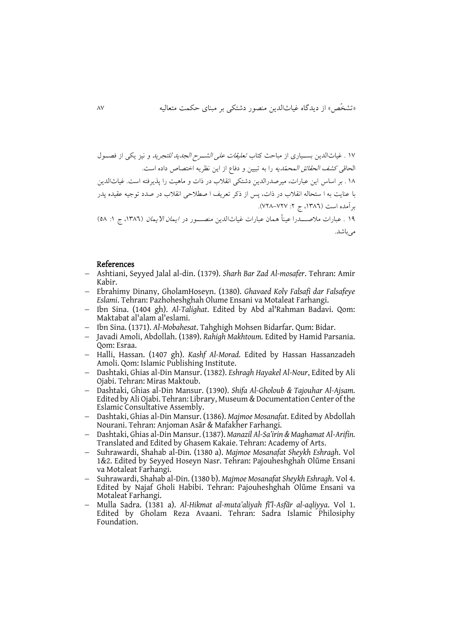مے باشد.

06 . غیاثالدين بسددیاری از مباحث کتاب تعلیقات علی الشددرح الجديد للتجريد و نیز يکی از فصددول الحاقی *کشف الحقائق المحمّديه* را به تبيين و دفاع از اين نظريه اختصاص داده است. 06 . بر اساس اين عبارات، میرصدرالدين دشتکی انقالب در ذات و ماهیت را پذيرفته است. غیاثالدين با عنايت به ا ستحاله انقالب در ذات، پس از ذکر تعريف ا صطالحی انقالب در صدد توجیه عقیده پدر برآمده است (١٣٨٦، ج ٢: ٧٢٧-٧٢٨). 06 . عبارات مالصددددرا عیناـ همان عبارات غیاث الدين منصدددور در ايمان االيمان )،0864 ج :0 66(

### References

- Ashtiani, Seyyed Jalal al-din. (1379). *Sharh Bar Zad Al-mosafer*. Tehran: Amir Kabir.
- Ebrahimy Dinany, GholamHoseyn. (1380). *Ghavaed Koly Falsafi dar Falsafeye Eslami*. Tehran: Pazhoheshghah Olume Ensani va Motaleat Farhangi.
- Ibn Sina. (1404 gh). *Al-Talighat*. Edited by Abd al'Rahman Badavi. Qom: Maktabat al'alam al'eslami.
- Ibn Sina. (1371). *Al-Mobahesat*. Tahghigh Mohsen Bidarfar. Qum: Bidar.
- Javadi Amoli, Abdollah. (1389). *Rahigh Makhtoum.* Edited by Hamid Parsania. Qom: Esraa.
- Halli, Hassan. (1407 gh). *Kashf Al-Morad.* Edited by Hassan Hassanzadeh Amoli. Qom: Islamic Publishing Institute.
- Dashtaki, Ghias al-Din Mansur. (1382). *Eshragh Hayakel Al-Nour*, Edited by Ali Ojabi. Tehran: Miras Maktoub.
- Dashtaki, Ghias al-Din Mansur. (1390). *Shifa Al-Gholoub & Tajouhar Al-Ajsam.* Edited by Ali Ojabi. Tehran: Library, Museum & Documentation Center of the Eslamic Consultative Assembly.
- Dashtaki, Ghias al-Din Mansur. (1386). *Majmoe Mosanafat*. Edited by Abdollah Nourani. Tehran: Anjoman Asār & Mafakher Farhangi.
- Dashtaki, Ghias al-Din Mansur. (1387). *Manazil Al-Sa'irin & Maghamat Al-Arifin.* Translated and Edited by Ghasem Kakaie. Tehran: Academy of Arts.
- Suhrawardi, Shahab al-Din. (1380 a). *Majmoe Mosanafat Sheykh Eshragh*. Vol 1&2. Edited by Seyyed Hoseyn Nasr. Tehran: Pajouheshghah Olūme Ensani va Motaleat Farhangi.
- Suhrawardi, Shahab al-Din. (1380 b). *Majmoe Mosanafat Sheykh Eshragh*. Vol 4. Edited by Najaf Gholi Habibi. Tehran: Pajouheshghah Olūme Ensani va Motaleat Farhangi.
- Mulla Sadra. (1381 a). *Al-Hikmat al-muta'aliyah fī'l-Asfār al-aqliyya*. Vol 1. Edited by Gholam Reza Avaani. Tehran: Sadra Islamic Philosiphy Foundation.